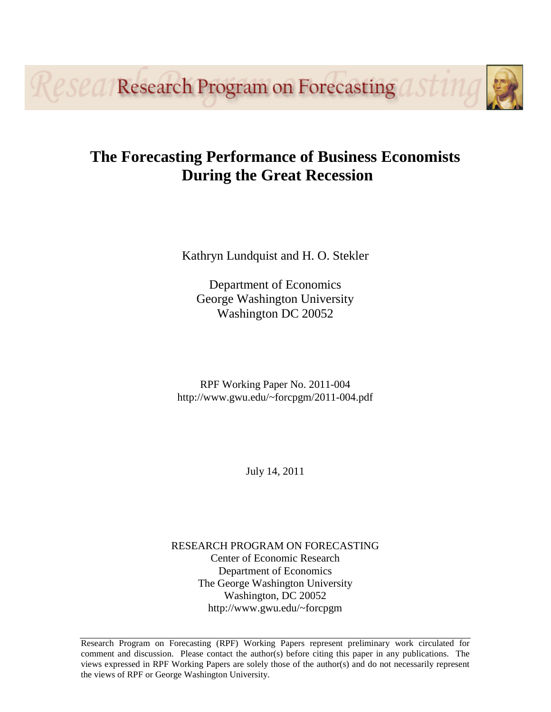**Research Program on Forecasting** 

# **The Forecasting Performance of Business Economists During the Great Recession**

Kathryn Lundquist and H. O. Stekler

Department of Economics George Washington University Washington DC 20052

RPF Working Paper No. 2011-004 http://www.gwu.edu/~forcpgm/2011-004.pdf

July 14, 2011

RESEARCH PROGRAM ON FORECASTING Center of Economic Research Department of Economics The George Washington University Washington, DC 20052 http://www.gwu.edu/~forcpgm

Research Program on Forecasting (RPF) Working Papers represent preliminary work circulated for comment and discussion. Please contact the author(s) before citing this paper in any publications. The views expressed in RPF Working Papers are solely those of the author(s) and do not necessarily represent the views of RPF or George Washington University.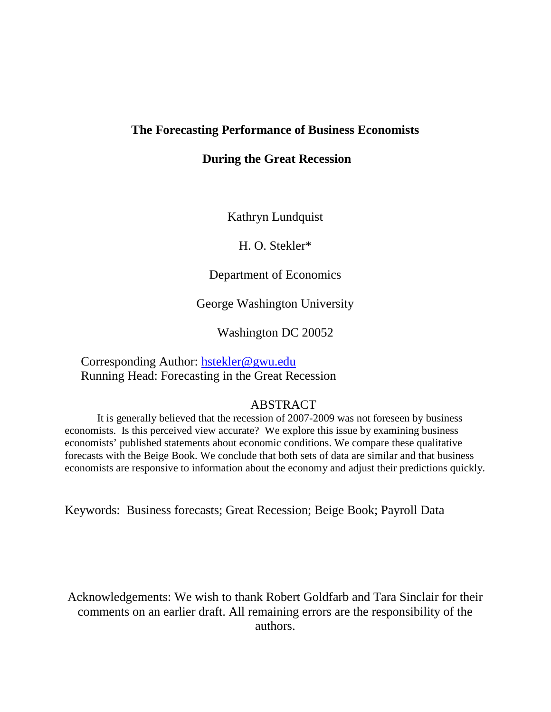# **The Forecasting Performance of Business Economists**

# **During the Great Recession**

Kathryn Lundquist

H. O. Stekler\*

Department of Economics

George Washington University

Washington DC 20052

Corresponding Author: [hstekler@gwu.edu](mailto:hstekler@gwu.edu) Running Head: Forecasting in the Great Recession

# ABSTRACT

It is generally believed that the recession of 2007-2009 was not foreseen by business economists. Is this perceived view accurate? We explore this issue by examining business economists' published statements about economic conditions. We compare these qualitative forecasts with the Beige Book. We conclude that both sets of data are similar and that business economists are responsive to information about the economy and adjust their predictions quickly.

Keywords: Business forecasts; Great Recession; Beige Book; Payroll Data

Acknowledgements: We wish to thank Robert Goldfarb and Tara Sinclair for their comments on an earlier draft. All remaining errors are the responsibility of the authors.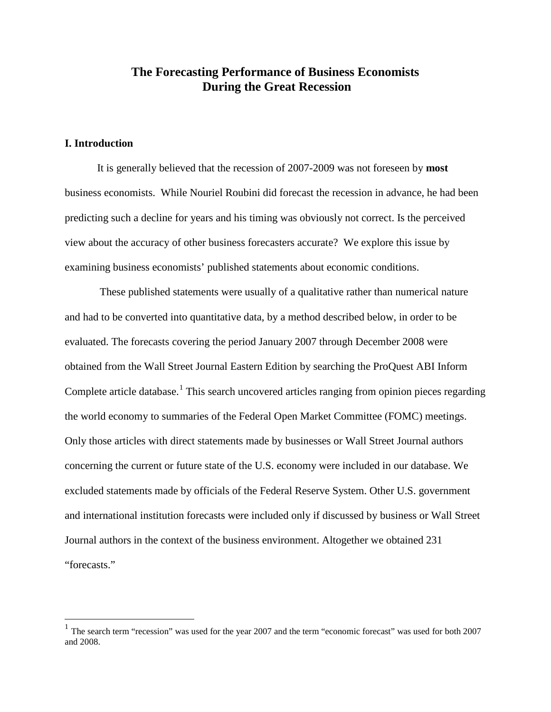# **The Forecasting Performance of Business Economists During the Great Recession**

## **I. Introduction**

It is generally believed that the recession of 2007-2009 was not foreseen by **most** business economists. While Nouriel Roubini did forecast the recession in advance, he had been predicting such a decline for years and his timing was obviously not correct. Is the perceived view about the accuracy of other business forecasters accurate? We explore this issue by examining business economists' published statements about economic conditions.

These published statements were usually of a qualitative rather than numerical nature and had to be converted into quantitative data, by a method described below, in order to be evaluated. The forecasts covering the period January 2007 through December 2008 were obtained from the Wall Street Journal Eastern Edition by searching the ProQuest ABI Inform Complete article database.<sup>[1](#page-2-0)</sup> This search uncovered articles ranging from opinion pieces regarding the world economy to summaries of the Federal Open Market Committee (FOMC) meetings. Only those articles with direct statements made by businesses or Wall Street Journal authors concerning the current or future state of the U.S. economy were included in our database. We excluded statements made by officials of the Federal Reserve System. Other U.S. government and international institution forecasts were included only if discussed by business or Wall Street Journal authors in the context of the business environment. Altogether we obtained 231 "forecasts."

<span id="page-2-0"></span><sup>&</sup>lt;sup>1</sup> The search term "recession" was used for the year 2007 and the term "economic forecast" was used for both 2007 and 2008.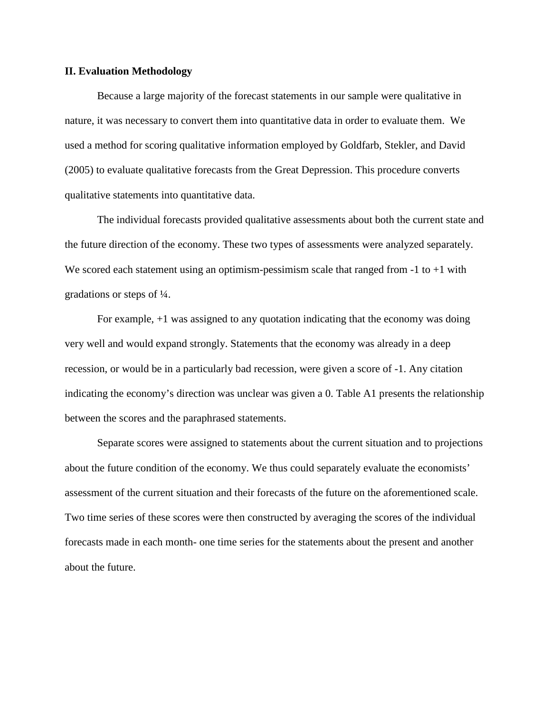#### **II. Evaluation Methodology**

Because a large majority of the forecast statements in our sample were qualitative in nature, it was necessary to convert them into quantitative data in order to evaluate them. We used a method for scoring qualitative information employed by Goldfarb, Stekler, and David (2005) to evaluate qualitative forecasts from the Great Depression. This procedure converts qualitative statements into quantitative data.

The individual forecasts provided qualitative assessments about both the current state and the future direction of the economy. These two types of assessments were analyzed separately. We scored each statement using an optimism-pessimism scale that ranged from  $-1$  to  $+1$  with gradations or steps of ¼.

For example, +1 was assigned to any quotation indicating that the economy was doing very well and would expand strongly. Statements that the economy was already in a deep recession, or would be in a particularly bad recession, were given a score of -1. Any citation indicating the economy's direction was unclear was given a 0. Table A1 presents the relationship between the scores and the paraphrased statements.

Separate scores were assigned to statements about the current situation and to projections about the future condition of the economy. We thus could separately evaluate the economists' assessment of the current situation and their forecasts of the future on the aforementioned scale. Two time series of these scores were then constructed by averaging the scores of the individual forecasts made in each month- one time series for the statements about the present and another about the future.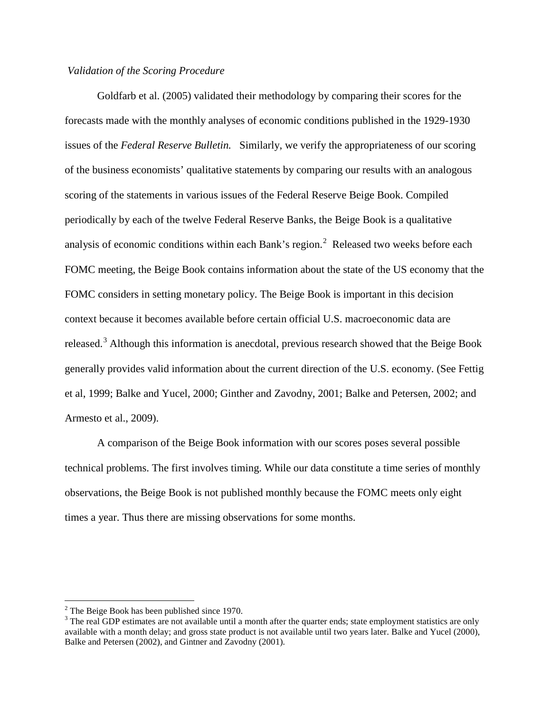### *Validation of the Scoring Procedure*

Goldfarb et al. (2005) validated their methodology by comparing their scores for the forecasts made with the monthly analyses of economic conditions published in the 1929-1930 issues of the *Federal Reserve Bulletin.* Similarly, we verify the appropriateness of our scoring of the business economists' qualitative statements by comparing our results with an analogous scoring of the statements in various issues of the Federal Reserve Beige Book. Compiled periodically by each of the twelve Federal Reserve Banks, the Beige Book is a qualitative analysis of economic conditions within each Bank's region.<sup>[2](#page-4-0)</sup> Released two weeks before each FOMC meeting, the Beige Book contains information about the state of the US economy that the FOMC considers in setting monetary policy. The Beige Book is important in this decision context because it becomes available before certain official U.S. macroeconomic data are released.<sup>[3](#page-4-1)</sup> Although this information is anecdotal, previous research showed that the Beige Book generally provides valid information about the current direction of the U.S. economy. (See Fettig et al, 1999; Balke and Yucel, 2000; Ginther and Zavodny, 2001; Balke and Petersen, 2002; and Armesto et al., 2009).

A comparison of the Beige Book information with our scores poses several possible technical problems. The first involves timing. While our data constitute a time series of monthly observations, the Beige Book is not published monthly because the FOMC meets only eight times a year. Thus there are missing observations for some months.

<span id="page-4-0"></span> $2$  The Beige Book has been published since 1970.

<span id="page-4-1"></span><sup>&</sup>lt;sup>3</sup> The real GDP estimates are not available until a month after the quarter ends; state employment statistics are only available with a month delay; and gross state product is not available until two years later. Balke and Yucel (2000), Balke and Petersen (2002), and Gintner and Zavodny (2001).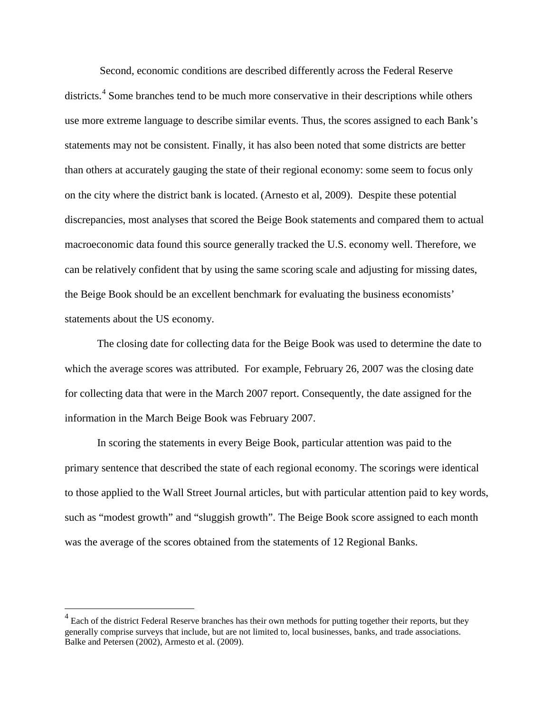Second, economic conditions are described differently across the Federal Reserve districts.<sup>[4](#page-5-0)</sup> Some branches tend to be much more conservative in their descriptions while others use more extreme language to describe similar events. Thus, the scores assigned to each Bank's statements may not be consistent. Finally, it has also been noted that some districts are better than others at accurately gauging the state of their regional economy: some seem to focus only on the city where the district bank is located. (Arnesto et al, 2009). Despite these potential discrepancies, most analyses that scored the Beige Book statements and compared them to actual macroeconomic data found this source generally tracked the U.S. economy well. Therefore, we can be relatively confident that by using the same scoring scale and adjusting for missing dates, the Beige Book should be an excellent benchmark for evaluating the business economists' statements about the US economy.

The closing date for collecting data for the Beige Book was used to determine the date to which the average scores was attributed. For example, February 26, 2007 was the closing date for collecting data that were in the March 2007 report. Consequently, the date assigned for the information in the March Beige Book was February 2007.

In scoring the statements in every Beige Book, particular attention was paid to the primary sentence that described the state of each regional economy. The scorings were identical to those applied to the Wall Street Journal articles, but with particular attention paid to key words, such as "modest growth" and "sluggish growth". The Beige Book score assigned to each month was the average of the scores obtained from the statements of 12 Regional Banks.

<span id="page-5-0"></span> $<sup>4</sup>$  Each of the district Federal Reserve branches has their own methods for putting together their reports, but they</sup> generally comprise surveys that include, but are not limited to, local businesses, banks, and trade associations. Balke and Petersen (2002), Armesto et al. (2009).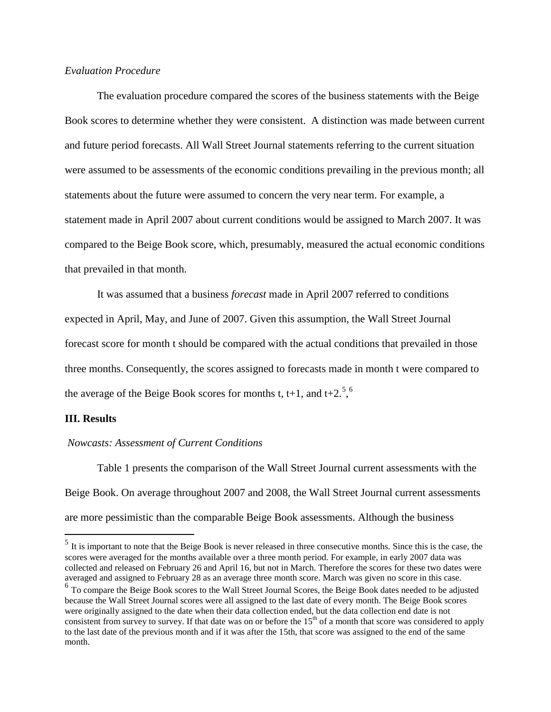## *Evaluation Procedure*

The evaluation procedure compared the scores of the business statements with the Beige Book scores to determine whether they were consistent. A distinction was made between current and future period forecasts. All Wall Street Journal statements referring to the current situation were assumed to be assessments of the economic conditions prevailing in the previous month; all statements about the future were assumed to concern the very near term. For example, a statement made in April 2007 about current conditions would be assigned to March 2007. It was compared to the Beige Book score, which, presumably, measured the actual economic conditions that prevailed in that month.

It was assumed that a business *forecast* made in April 2007 referred to conditions expected in April, May, and June of 2007. Given this assumption, the Wall Street Journal forecast score for month t should be compared with the actual conditions that prevailed in those three months. Consequently, the scores assigned to forecasts made in month t were compared to the average of the Beige Book scores for months t, t+1, and t+2.<sup>[5](#page-6-0)</sup>,<sup>[6](#page-6-1)</sup>

#### **III. Results**

#### *Nowcasts: Assessment of Current Conditions*

Table 1 presents the comparison of the Wall Street Journal current assessments with the Beige Book. On average throughout 2007 and 2008, the Wall Street Journal current assessments are more pessimistic than the comparable Beige Book assessments. Although the business

<span id="page-6-0"></span> $<sup>5</sup>$  It is important to note that the Beige Book is never released in three consecutive months. Since this is the case, the</sup> scores were averaged for the months available over a three month period. For example, in early 2007 data was collected and released on February 26 and April 16, but not in March. Therefore the scores for these two dates were averaged and assigned to February 28 as an average three month score. March was given no score in this case.

<span id="page-6-1"></span><sup>&</sup>lt;sup>6</sup> To compare the Beige Book scores to the Wall Street Journal Scores, the Beige Book dates needed to be adjusted because the Wall Street Journal scores were all assigned to the last date of every month. The Beige Book scores were originally assigned to the date when their data collection ended, but the data collection end date is not consistent from survey to survey. If that date was on or before the  $15<sup>th</sup>$  of a month that score was considered to apply to the last date of the previous month and if it was after the 15th, that score was assigned to the end of the same month.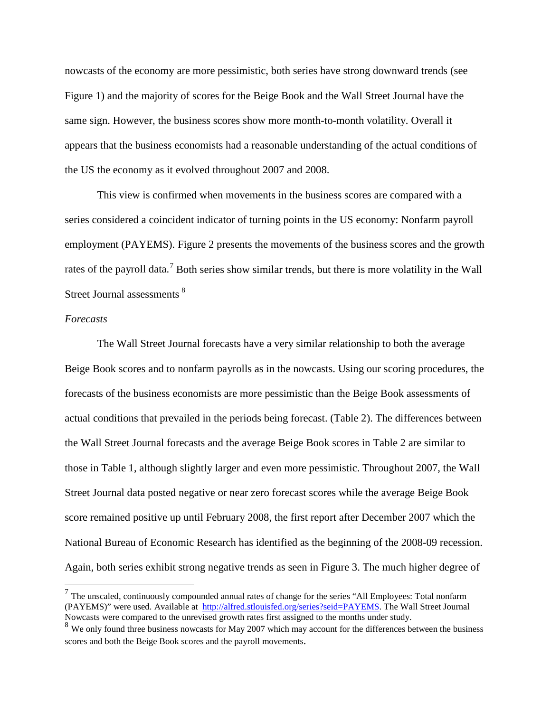nowcasts of the economy are more pessimistic, both series have strong downward trends (see Figure 1) and the majority of scores for the Beige Book and the Wall Street Journal have the same sign. However, the business scores show more month-to-month volatility. Overall it appears that the business economists had a reasonable understanding of the actual conditions of the US the economy as it evolved throughout 2007 and 2008.

This view is confirmed when movements in the business scores are compared with a series considered a coincident indicator of turning points in the US economy: Nonfarm payroll employment (PAYEMS). Figure 2 presents the movements of the business scores and the growth rates of the payroll data.<sup>[7](#page-7-0)</sup> Both series show similar trends, but there is more volatility in the Wall Street Journal assessments<sup>[8](#page-7-1)</sup>

#### *Forecasts*

The Wall Street Journal forecasts have a very similar relationship to both the average Beige Book scores and to nonfarm payrolls as in the nowcasts. Using our scoring procedures, the forecasts of the business economists are more pessimistic than the Beige Book assessments of actual conditions that prevailed in the periods being forecast. (Table 2). The differences between the Wall Street Journal forecasts and the average Beige Book scores in Table 2 are similar to those in Table 1, although slightly larger and even more pessimistic. Throughout 2007, the Wall Street Journal data posted negative or near zero forecast scores while the average Beige Book score remained positive up until February 2008, the first report after December 2007 which the National Bureau of Economic Research has identified as the beginning of the 2008-09 recession. Again, both series exhibit strong negative trends as seen in Figure 3. The much higher degree of

<span id="page-7-0"></span> $<sup>7</sup>$  The unscaled, continuously compounded annual rates of change for the series "All Employees: Total nonfarm</sup> (PAYEMS)" were used. Available at [http://alfred.stlouisfed.org/series?seid=PAYEMS.](http://alfred.stlouisfed.org/series?seid=PAYEMS) The Wall Street Journal Nowcasts were compared to the unrevised growth rates first assigned to the months under study.

<span id="page-7-1"></span> $8$  We only found three business nowcasts for May 2007 which may account for the differences between the business scores and both the Beige Book scores and the payroll movements.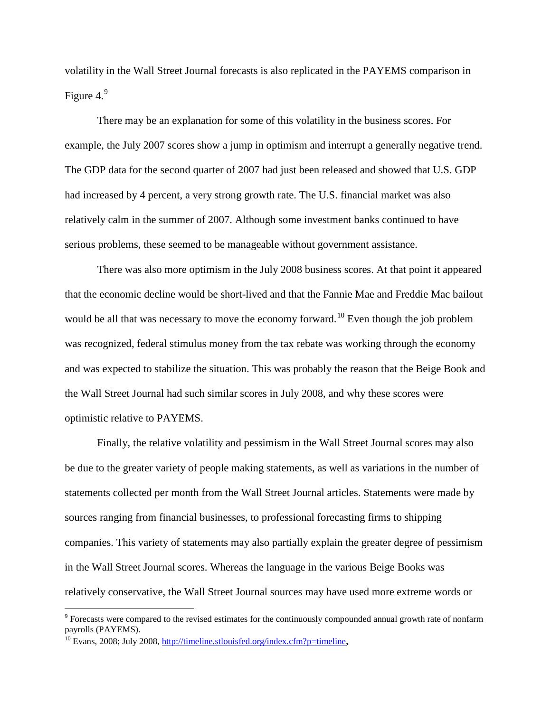volatility in the Wall Street Journal forecasts is also replicated in the PAYEMS comparison in Figure 4. $9$ 

There may be an explanation for some of this volatility in the business scores. For example, the July 2007 scores show a jump in optimism and interrupt a generally negative trend. The GDP data for the second quarter of 2007 had just been released and showed that U.S. GDP had increased by 4 percent, a very strong growth rate. The U.S. financial market was also relatively calm in the summer of 2007. Although some investment banks continued to have serious problems, these seemed to be manageable without government assistance.

There was also more optimism in the July 2008 business scores. At that point it appeared that the economic decline would be short-lived and that the Fannie Mae and Freddie Mac bailout would be all that was necessary to move the economy forward.<sup>[10](#page-8-1)</sup> Even though the job problem was recognized, federal stimulus money from the tax rebate was working through the economy and was expected to stabilize the situation. This was probably the reason that the Beige Book and the Wall Street Journal had such similar scores in July 2008, and why these scores were optimistic relative to PAYEMS.

Finally, the relative volatility and pessimism in the Wall Street Journal scores may also be due to the greater variety of people making statements, as well as variations in the number of statements collected per month from the Wall Street Journal articles. Statements were made by sources ranging from financial businesses, to professional forecasting firms to shipping companies. This variety of statements may also partially explain the greater degree of pessimism in the Wall Street Journal scores. Whereas the language in the various Beige Books was relatively conservative, the Wall Street Journal sources may have used more extreme words or

<span id="page-8-0"></span><sup>&</sup>lt;sup>9</sup> Forecasts were compared to the revised estimates for the continuously compounded annual growth rate of nonfarm payrolls (PAYEMS).

<span id="page-8-1"></span> $10$  Evans, 2008; July 2008, [http://timeline.stlouisfed.org/index.cfm?p=timeline,](http://timeline.stlouisfed.org/index.cfm?p=timeline)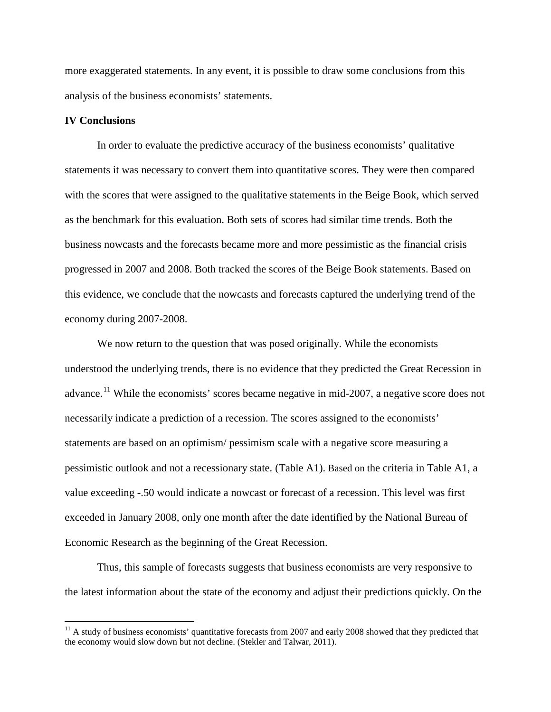more exaggerated statements. In any event, it is possible to draw some conclusions from this analysis of the business economists' statements.

#### **IV Conclusions**

In order to evaluate the predictive accuracy of the business economists' qualitative statements it was necessary to convert them into quantitative scores. They were then compared with the scores that were assigned to the qualitative statements in the Beige Book, which served as the benchmark for this evaluation. Both sets of scores had similar time trends. Both the business nowcasts and the forecasts became more and more pessimistic as the financial crisis progressed in 2007 and 2008. Both tracked the scores of the Beige Book statements. Based on this evidence, we conclude that the nowcasts and forecasts captured the underlying trend of the economy during 2007-2008.

We now return to the question that was posed originally. While the economists understood the underlying trends, there is no evidence that they predicted the Great Recession in advance.<sup>[11](#page-9-0)</sup> While the economists' scores became negative in mid-2007, a negative score does not necessarily indicate a prediction of a recession. The scores assigned to the economists' statements are based on an optimism/ pessimism scale with a negative score measuring a pessimistic outlook and not a recessionary state. (Table A1). Based on the criteria in Table A1, a value exceeding -.50 would indicate a nowcast or forecast of a recession. This level was first exceeded in January 2008, only one month after the date identified by the National Bureau of Economic Research as the beginning of the Great Recession.

Thus, this sample of forecasts suggests that business economists are very responsive to the latest information about the state of the economy and adjust their predictions quickly. On the

<span id="page-9-0"></span><sup>&</sup>lt;sup>11</sup> A study of business economists' quantitative forecasts from 2007 and early 2008 showed that they predicted that the economy would slow down but not decline. (Stekler and Talwar, 2011).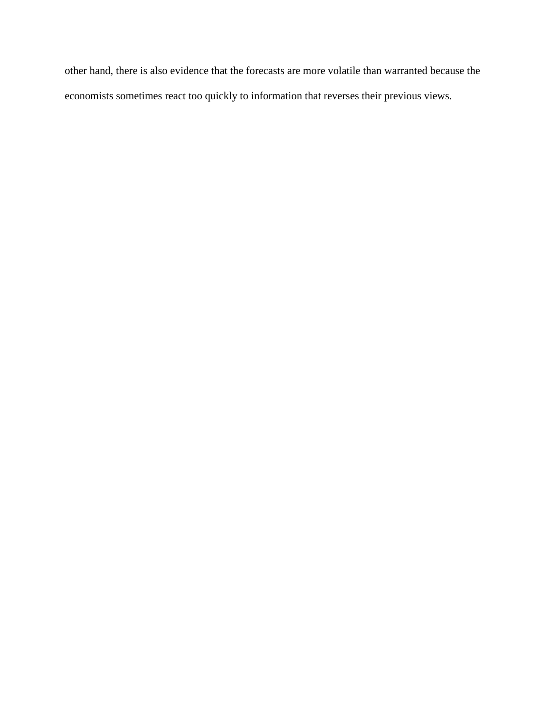other hand, there is also evidence that the forecasts are more volatile than warranted because the economists sometimes react too quickly to information that reverses their previous views.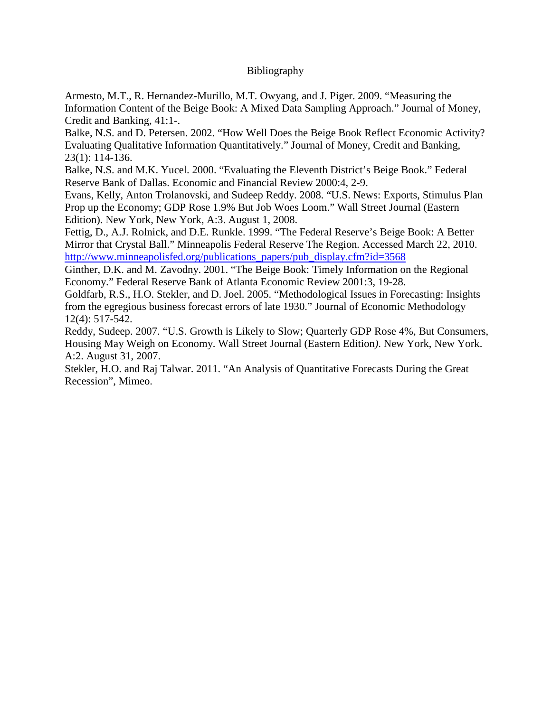# Bibliography

Armesto, M.T., R. Hernandez-Murillo, M.T. Owyang, and J. Piger. 2009. "Measuring the Information Content of the Beige Book: A Mixed Data Sampling Approach." Journal of Money, Credit and Banking, 41:1-.

Balke, N.S. and D. Petersen. 2002. "How Well Does the Beige Book Reflect Economic Activity? Evaluating Qualitative Information Quantitatively." Journal of Money, Credit and Banking, 23(1): 114-136.

Balke, N.S. and M.K. Yucel. 2000. "Evaluating the Eleventh District's Beige Book." Federal Reserve Bank of Dallas. Economic and Financial Review 2000:4, 2-9.

Evans, Kelly, Anton Trolanovski, and Sudeep Reddy. 2008. "U.S. News: Exports, Stimulus Plan Prop up the Economy; GDP Rose 1.9% But Job Woes Loom." Wall Street Journal (Eastern Edition). New York, New York, A:3. August 1, 2008.

Fettig, D., A.J. Rolnick, and D.E. Runkle. 1999. "The Federal Reserve's Beige Book: A Better Mirror that Crystal Ball." Minneapolis Federal Reserve The Region*.* Accessed March 22, 2010. [http://www.minneapolisfed.org/publications\\_papers/pub\\_display.cfm?id=3568](http://www.minneapolisfed.org/publications_papers/pub_display.cfm?id=3568)

Ginther, D.K. and M. Zavodny. 2001. "The Beige Book: Timely Information on the Regional Economy." Federal Reserve Bank of Atlanta Economic Review 2001:3, 19-28.

Goldfarb, R.S., H.O. Stekler, and D. Joel. 2005. "Methodological Issues in Forecasting: Insights from the egregious business forecast errors of late 1930." Journal of Economic Methodology 12(4): 517-542.

Reddy, Sudeep. 2007. "U.S. Growth is Likely to Slow; Quarterly GDP Rose 4%, But Consumers, Housing May Weigh on Economy. Wall Street Journal (Eastern Edition*)*. New York, New York. A:2. August 31, 2007.

Stekler, H.O. and Raj Talwar. 2011. "An Analysis of Quantitative Forecasts During the Great Recession", Mimeo.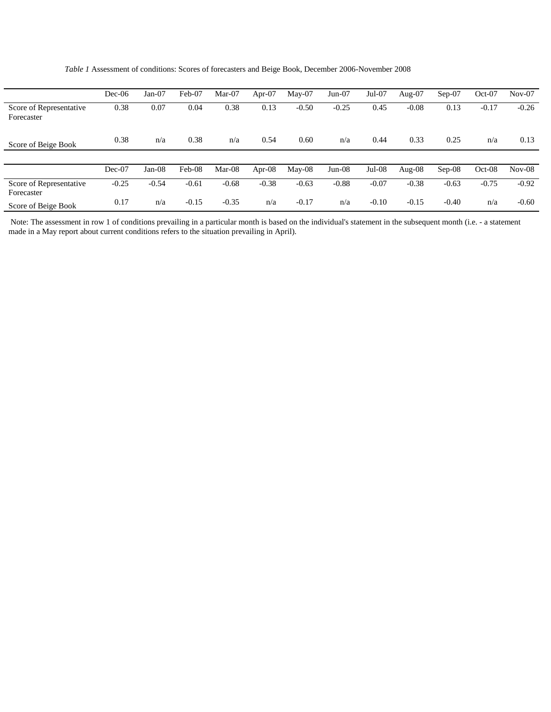*Table 1* Assessment of conditions: Scores of forecasters and Beige Book, December 2006-November 2008

|                                       | $Dec-06$ | Jan-07   | Feb-07  | Mar-07  | Apr- $07$ | $Mav-07$ | $Jun-07$ | $Jul-07$ | Aug- $07$ | $Sep-07$ | $Oct-07$ | $Nov-07$ |
|---------------------------------------|----------|----------|---------|---------|-----------|----------|----------|----------|-----------|----------|----------|----------|
| Score of Representative<br>Forecaster | 0.38     | 0.07     | 0.04    | 0.38    | 0.13      | $-0.50$  | $-0.25$  | 0.45     | $-0.08$   | 0.13     | $-0.17$  | $-0.26$  |
| Score of Beige Book                   | 0.38     | n/a      | 0.38    | n/a     | 0.54      | 0.60     | n/a      | 0.44     | 0.33      | 0.25     | n/a      | 0.13     |
|                                       |          |          |         |         |           |          |          |          |           |          |          |          |
|                                       | $Dec-07$ | $Jan-08$ | Feb-08  | Mar-08  | Apr- $08$ | $May-08$ | $Jun-08$ | $Jul-08$ | Aug- $08$ | $Sep-08$ | $Oct-08$ | $Nov-08$ |
| Score of Representative<br>Forecaster | $-0.25$  | $-0.54$  | $-0.61$ | $-0.68$ | $-0.38$   | $-0.63$  | $-0.88$  | $-0.07$  | $-0.38$   | $-0.63$  | $-0.75$  | $-0.92$  |
| Score of Beige Book                   | 0.17     | n/a      | $-0.15$ | $-0.35$ | n/a       | $-0.17$  | n/a      | $-0.10$  | $-0.15$   | $-0.40$  | n/a      | $-0.60$  |

Note: The assessment in row 1 of conditions prevailing in a particular month is based on the individual's statement in the subsequent month (i.e. - a statement made in a May report about current conditions refers to the situation prevailing in April).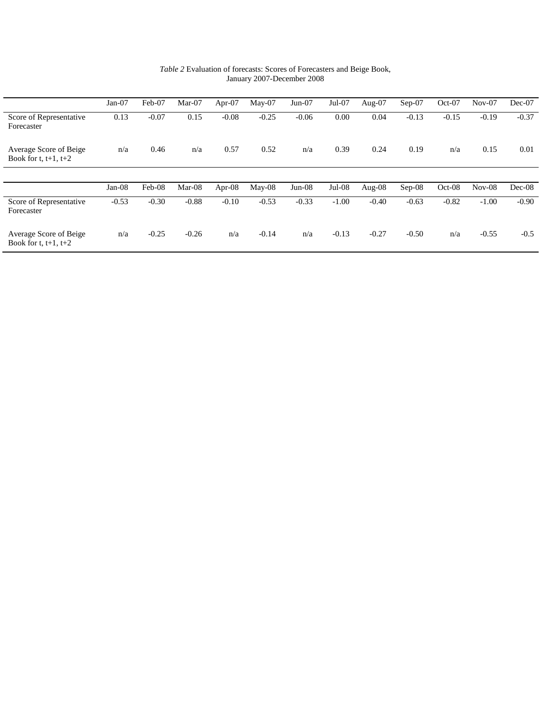|                                                     | $Jan-07$ | Feb-07  | Mar-07   | Apr-07  | $Mav-07$ | $Jun-07$ | $Jul-07$ | Aug- $07$ | $Sep-07$ | $Oct-07$ | $Nov-07$ | $Dec-07$ |
|-----------------------------------------------------|----------|---------|----------|---------|----------|----------|----------|-----------|----------|----------|----------|----------|
| Score of Representative<br>Forecaster               | 0.13     | $-0.07$ | 0.15     | $-0.08$ | $-0.25$  | $-0.06$  | 0.00     | 0.04      | $-0.13$  | $-0.15$  | $-0.19$  | $-0.37$  |
| Average Score of Beige<br>Book for t, $t+1$ , $t+2$ | n/a      | 0.46    | n/a      | 0.57    | 0.52     | n/a      | 0.39     | 0.24      | 0.19     | n/a      | 0.15     | 0.01     |
|                                                     |          |         |          |         |          |          |          |           |          |          |          |          |
|                                                     | $Jan-08$ | Feb-08  | $Mar-08$ | Apr-08  | $Mav-08$ | $Jun-08$ | $Jul-08$ | Aug- $08$ | $Sep-08$ | $Oct-08$ | $Nov-08$ | $Dec-08$ |
| Score of Representative<br>Forecaster               | $-0.53$  | $-0.30$ | $-0.88$  | $-0.10$ | $-0.53$  | $-0.33$  | $-1.00$  | $-0.40$   | $-0.63$  | $-0.82$  | $-1.00$  | $-0.90$  |
| Average Score of Beige<br>Book for t, $t+1$ , $t+2$ | n/a      | $-0.25$ | $-0.26$  | n/a     | $-0.14$  | n/a      | $-0.13$  | $-0.27$   | $-0.50$  | n/a      | $-0.55$  | $-0.5$   |

*Table 2* Evaluation of forecasts: Scores of Forecasters and Beige Book, January 2007-December 2008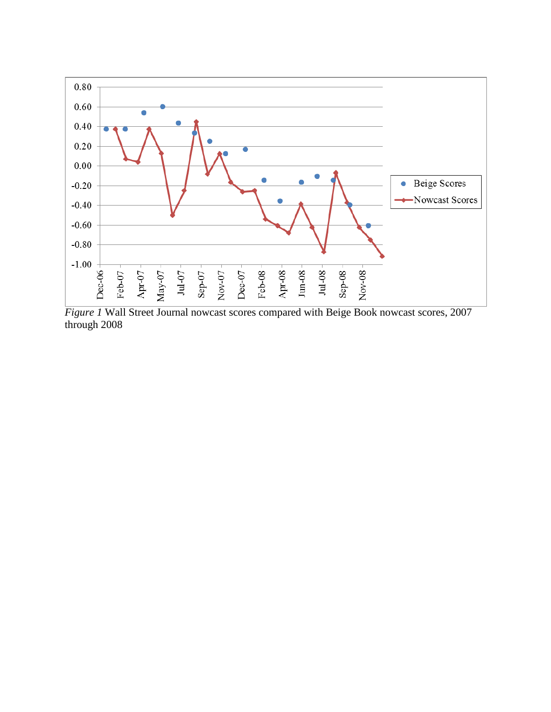

*Figure 1* Wall Street Journal nowcast scores compared with Beige Book nowcast scores, 2007 through 2008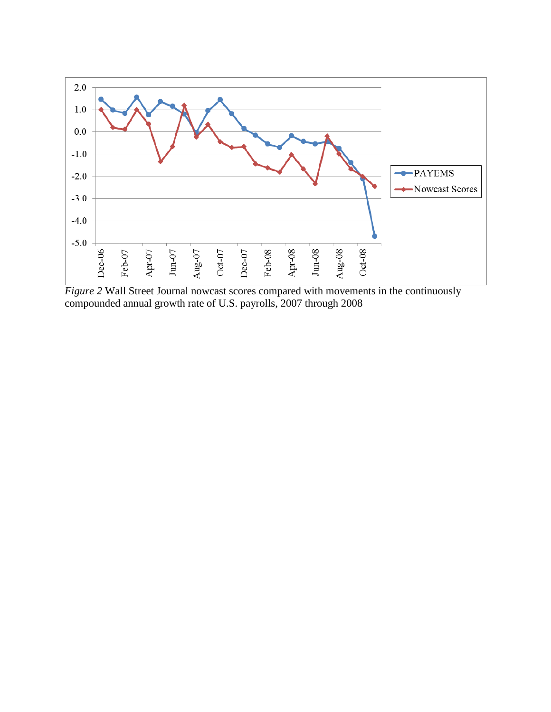

*Figure 2* Wall Street Journal nowcast scores compared with movements in the continuously compounded annual growth rate of U.S. payrolls, 2007 through 2008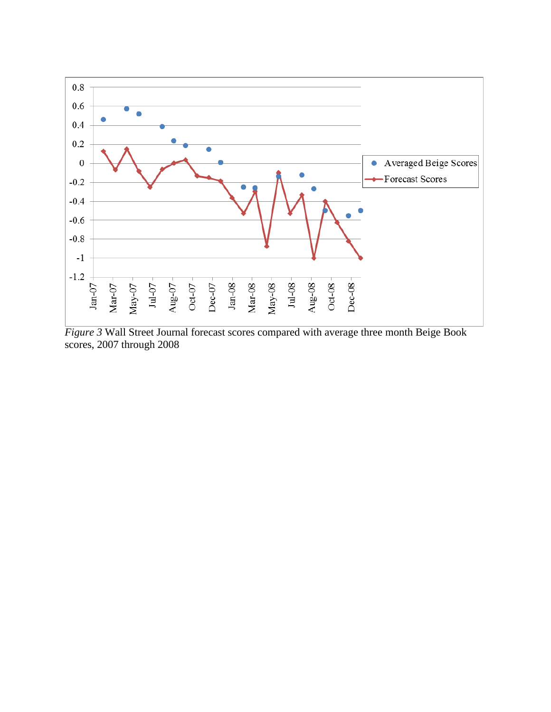

*Figure 3* Wall Street Journal forecast scores compared with average three month Beige Book scores, 2007 through 2008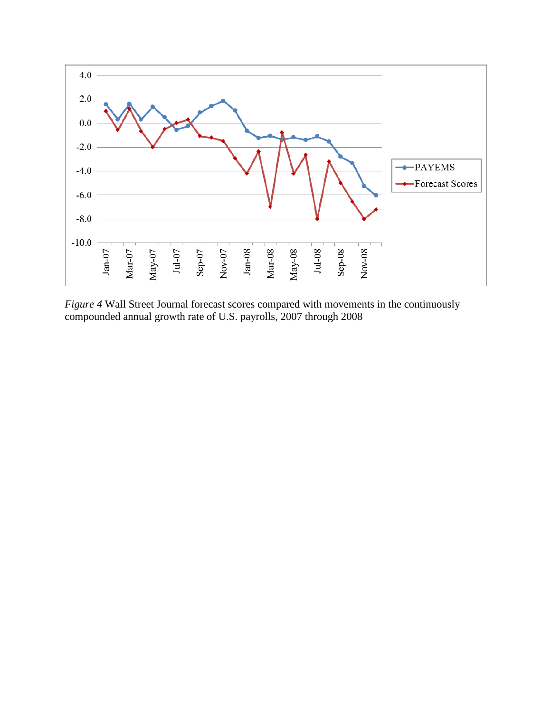

*Figure* 4 Wall Street Journal forecast scores compared with movements in the continuously compounded annual growth rate of U.S. payrolls, 2007 through 2008